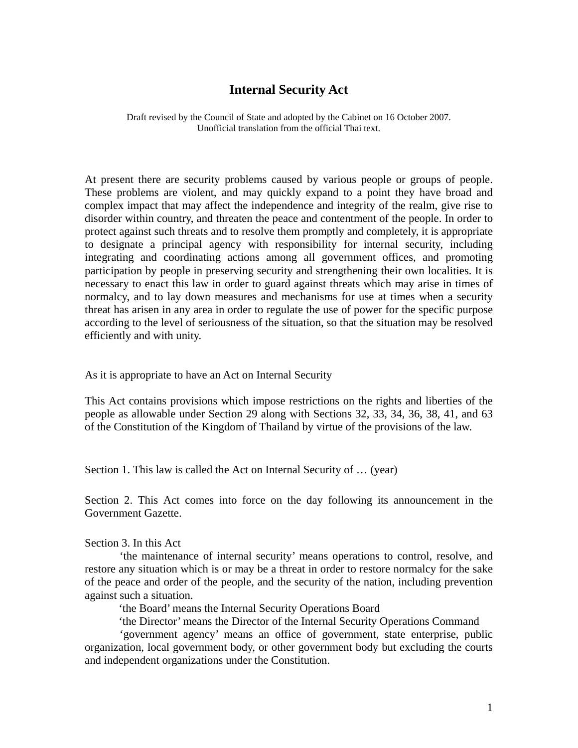# **Internal Security Act**

Draft revised by the Council of State and adopted by the Cabinet on 16 October 2007. Unofficial translation from the official Thai text.

At present there are security problems caused by various people or groups of people. These problems are violent, and may quickly expand to a point they have broad and complex impact that may affect the independence and integrity of the realm, give rise to disorder within country, and threaten the peace and contentment of the people. In order to protect against such threats and to resolve them promptly and completely, it is appropriate to designate a principal agency with responsibility for internal security, including integrating and coordinating actions among all government offices, and promoting participation by people in preserving security and strengthening their own localities. It is necessary to enact this law in order to guard against threats which may arise in times of normalcy, and to lay down measures and mechanisms for use at times when a security threat has arisen in any area in order to regulate the use of power for the specific purpose according to the level of seriousness of the situation, so that the situation may be resolved efficiently and with unity.

As it is appropriate to have an Act on Internal Security

This Act contains provisions which impose restrictions on the rights and liberties of the people as allowable under Section 29 along with Sections 32, 33, 34, 36, 38, 41, and 63 of the Constitution of the Kingdom of Thailand by virtue of the provisions of the law.

Section 1. This law is called the Act on Internal Security of … (year)

Section 2. This Act comes into force on the day following its announcement in the Government Gazette.

Section 3. In this Act

'the maintenance of internal security' means operations to control, resolve, and restore any situation which is or may be a threat in order to restore normalcy for the sake of the peace and order of the people, and the security of the nation, including prevention against such a situation.

'the Board' means the Internal Security Operations Board

'the Director' means the Director of the Internal Security Operations Command

'government agency' means an office of government, state enterprise, public organization, local government body, or other government body but excluding the courts and independent organizations under the Constitution.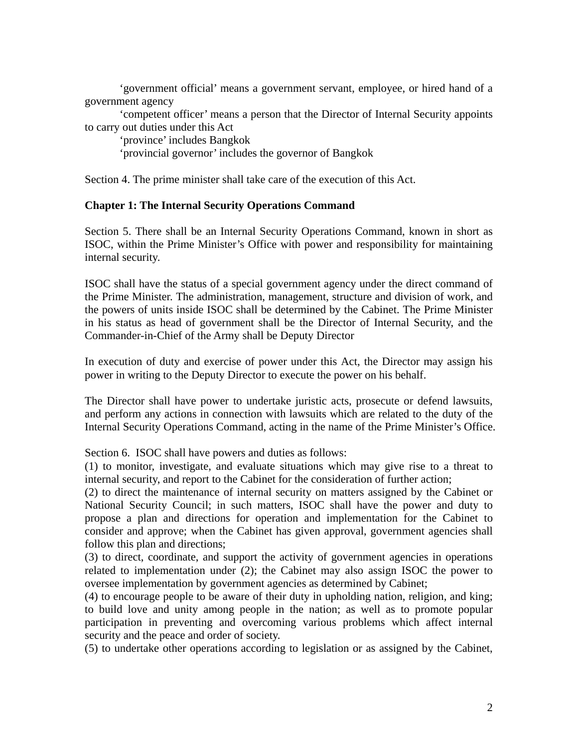'government official' means a government servant, employee, or hired hand of a government agency

'competent officer' means a person that the Director of Internal Security appoints to carry out duties under this Act

'province' includes Bangkok

'provincial governor' includes the governor of Bangkok

Section 4. The prime minister shall take care of the execution of this Act.

### **Chapter 1: The Internal Security Operations Command**

Section 5. There shall be an Internal Security Operations Command, known in short as ISOC, within the Prime Minister's Office with power and responsibility for maintaining internal security.

ISOC shall have the status of a special government agency under the direct command of the Prime Minister. The administration, management, structure and division of work, and the powers of units inside ISOC shall be determined by the Cabinet. The Prime Minister in his status as head of government shall be the Director of Internal Security, and the Commander-in-Chief of the Army shall be Deputy Director

In execution of duty and exercise of power under this Act, the Director may assign his power in writing to the Deputy Director to execute the power on his behalf.

The Director shall have power to undertake juristic acts, prosecute or defend lawsuits, and perform any actions in connection with lawsuits which are related to the duty of the Internal Security Operations Command, acting in the name of the Prime Minister's Office.

Section 6. ISOC shall have powers and duties as follows:

(1) to monitor, investigate, and evaluate situations which may give rise to a threat to internal security, and report to the Cabinet for the consideration of further action;

(2) to direct the maintenance of internal security on matters assigned by the Cabinet or National Security Council; in such matters, ISOC shall have the power and duty to propose a plan and directions for operation and implementation for the Cabinet to consider and approve; when the Cabinet has given approval, government agencies shall follow this plan and directions;

(3) to direct, coordinate, and support the activity of government agencies in operations related to implementation under (2); the Cabinet may also assign ISOC the power to oversee implementation by government agencies as determined by Cabinet;

(4) to encourage people to be aware of their duty in upholding nation, religion, and king; to build love and unity among people in the nation; as well as to promote popular participation in preventing and overcoming various problems which affect internal security and the peace and order of society.

(5) to undertake other operations according to legislation or as assigned by the Cabinet,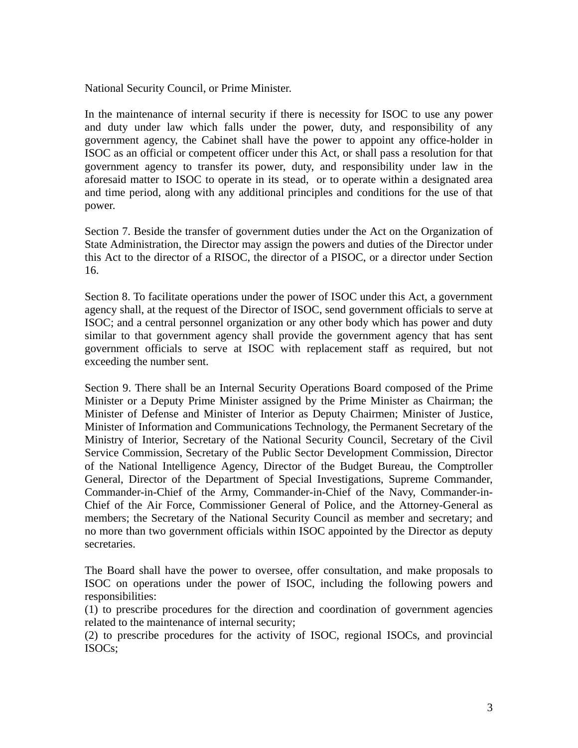National Security Council, or Prime Minister.

In the maintenance of internal security if there is necessity for ISOC to use any power and duty under law which falls under the power, duty, and responsibility of any government agency, the Cabinet shall have the power to appoint any office-holder in ISOC as an official or competent officer under this Act, or shall pass a resolution for that government agency to transfer its power, duty, and responsibility under law in the aforesaid matter to ISOC to operate in its stead, or to operate within a designated area and time period, along with any additional principles and conditions for the use of that power.

Section 7. Beside the transfer of government duties under the Act on the Organization of State Administration, the Director may assign the powers and duties of the Director under this Act to the director of a RISOC, the director of a PISOC, or a director under Section 16.

Section 8. To facilitate operations under the power of ISOC under this Act, a government agency shall, at the request of the Director of ISOC, send government officials to serve at ISOC; and a central personnel organization or any other body which has power and duty similar to that government agency shall provide the government agency that has sent government officials to serve at ISOC with replacement staff as required, but not exceeding the number sent.

Section 9. There shall be an Internal Security Operations Board composed of the Prime Minister or a Deputy Prime Minister assigned by the Prime Minister as Chairman; the Minister of Defense and Minister of Interior as Deputy Chairmen; Minister of Justice, Minister of Information and Communications Technology, the Permanent Secretary of the Ministry of Interior, Secretary of the National Security Council, Secretary of the Civil Service Commission, Secretary of the Public Sector Development Commission, Director of the National Intelligence Agency, Director of the Budget Bureau, the Comptroller General, Director of the Department of Special Investigations, Supreme Commander, Commander-in-Chief of the Army, Commander-in-Chief of the Navy, Commander-in-Chief of the Air Force, Commissioner General of Police, and the Attorney-General as members; the Secretary of the National Security Council as member and secretary; and no more than two government officials within ISOC appointed by the Director as deputy secretaries.

The Board shall have the power to oversee, offer consultation, and make proposals to ISOC on operations under the power of ISOC, including the following powers and responsibilities:

(1) to prescribe procedures for the direction and coordination of government agencies related to the maintenance of internal security;

(2) to prescribe procedures for the activity of ISOC, regional ISOCs, and provincial ISOCs;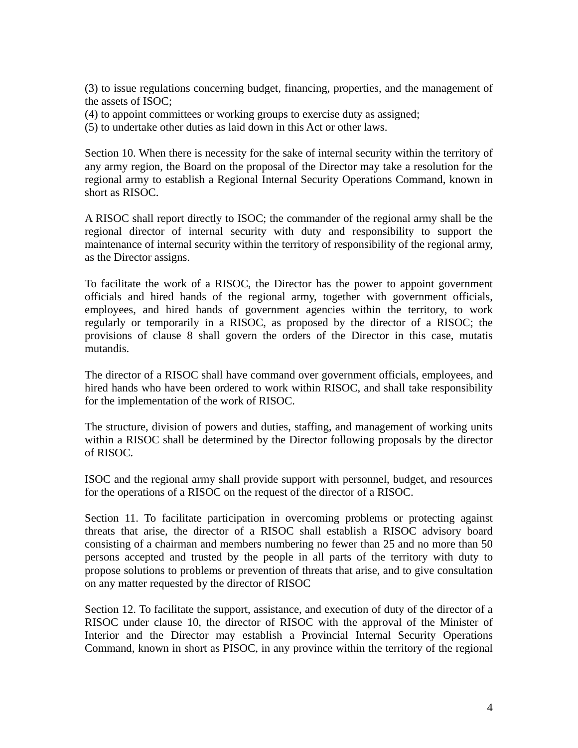(3) to issue regulations concerning budget, financing, properties, and the management of the assets of ISOC;

(4) to appoint committees or working groups to exercise duty as assigned;

(5) to undertake other duties as laid down in this Act or other laws.

Section 10. When there is necessity for the sake of internal security within the territory of any army region, the Board on the proposal of the Director may take a resolution for the regional army to establish a Regional Internal Security Operations Command, known in short as RISOC.

A RISOC shall report directly to ISOC; the commander of the regional army shall be the regional director of internal security with duty and responsibility to support the maintenance of internal security within the territory of responsibility of the regional army, as the Director assigns.

To facilitate the work of a RISOC, the Director has the power to appoint government officials and hired hands of the regional army, together with government officials, employees, and hired hands of government agencies within the territory, to work regularly or temporarily in a RISOC, as proposed by the director of a RISOC; the provisions of clause 8 shall govern the orders of the Director in this case, mutatis mutandis.

The director of a RISOC shall have command over government officials, employees, and hired hands who have been ordered to work within RISOC, and shall take responsibility for the implementation of the work of RISOC.

The structure, division of powers and duties, staffing, and management of working units within a RISOC shall be determined by the Director following proposals by the director of RISOC.

ISOC and the regional army shall provide support with personnel, budget, and resources for the operations of a RISOC on the request of the director of a RISOC.

Section 11. To facilitate participation in overcoming problems or protecting against threats that arise, the director of a RISOC shall establish a RISOC advisory board consisting of a chairman and members numbering no fewer than 25 and no more than 50 persons accepted and trusted by the people in all parts of the territory with duty to propose solutions to problems or prevention of threats that arise, and to give consultation on any matter requested by the director of RISOC

Section 12. To facilitate the support, assistance, and execution of duty of the director of a RISOC under clause 10, the director of RISOC with the approval of the Minister of Interior and the Director may establish a Provincial Internal Security Operations Command, known in short as PISOC, in any province within the territory of the regional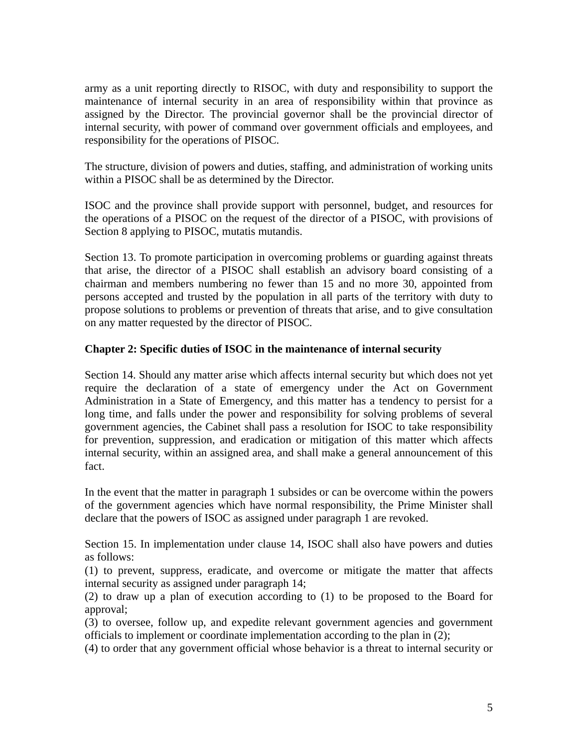army as a unit reporting directly to RISOC, with duty and responsibility to support the maintenance of internal security in an area of responsibility within that province as assigned by the Director. The provincial governor shall be the provincial director of internal security, with power of command over government officials and employees, and responsibility for the operations of PISOC.

The structure, division of powers and duties, staffing, and administration of working units within a PISOC shall be as determined by the Director.

ISOC and the province shall provide support with personnel, budget, and resources for the operations of a PISOC on the request of the director of a PISOC, with provisions of Section 8 applying to PISOC, mutatis mutandis.

Section 13. To promote participation in overcoming problems or guarding against threats that arise, the director of a PISOC shall establish an advisory board consisting of a chairman and members numbering no fewer than 15 and no more 30, appointed from persons accepted and trusted by the population in all parts of the territory with duty to propose solutions to problems or prevention of threats that arise, and to give consultation on any matter requested by the director of PISOC.

### **Chapter 2: Specific duties of ISOC in the maintenance of internal security**

Section 14. Should any matter arise which affects internal security but which does not yet require the declaration of a state of emergency under the Act on Government Administration in a State of Emergency, and this matter has a tendency to persist for a long time, and falls under the power and responsibility for solving problems of several government agencies, the Cabinet shall pass a resolution for ISOC to take responsibility for prevention, suppression, and eradication or mitigation of this matter which affects internal security, within an assigned area, and shall make a general announcement of this fact.

In the event that the matter in paragraph 1 subsides or can be overcome within the powers of the government agencies which have normal responsibility, the Prime Minister shall declare that the powers of ISOC as assigned under paragraph 1 are revoked.

Section 15. In implementation under clause 14, ISOC shall also have powers and duties as follows:

(1) to prevent, suppress, eradicate, and overcome or mitigate the matter that affects internal security as assigned under paragraph 14;

(2) to draw up a plan of execution according to (1) to be proposed to the Board for approval;

(3) to oversee, follow up, and expedite relevant government agencies and government officials to implement or coordinate implementation according to the plan in (2);

(4) to order that any government official whose behavior is a threat to internal security or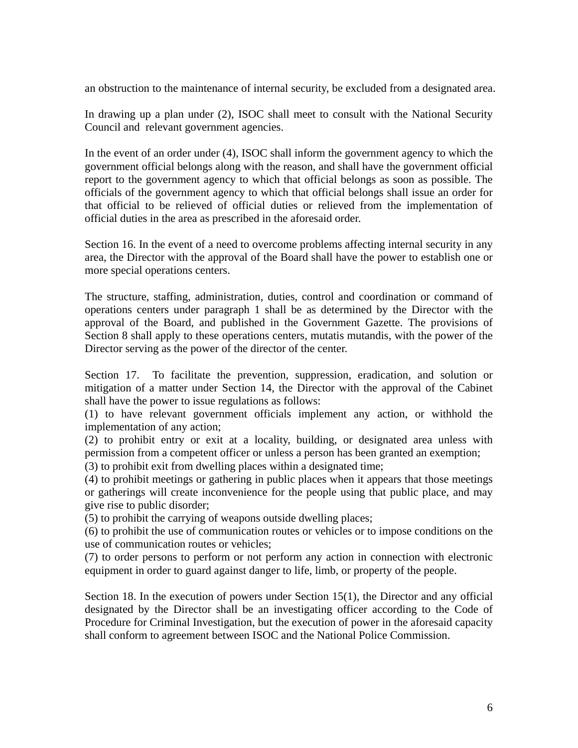an obstruction to the maintenance of internal security, be excluded from a designated area.

In drawing up a plan under (2), ISOC shall meet to consult with the National Security Council and relevant government agencies.

In the event of an order under (4), ISOC shall inform the government agency to which the government official belongs along with the reason, and shall have the government official report to the government agency to which that official belongs as soon as possible. The officials of the government agency to which that official belongs shall issue an order for that official to be relieved of official duties or relieved from the implementation of official duties in the area as prescribed in the aforesaid order.

Section 16. In the event of a need to overcome problems affecting internal security in any area, the Director with the approval of the Board shall have the power to establish one or more special operations centers.

The structure, staffing, administration, duties, control and coordination or command of operations centers under paragraph 1 shall be as determined by the Director with the approval of the Board, and published in the Government Gazette. The provisions of Section 8 shall apply to these operations centers, mutatis mutandis, with the power of the Director serving as the power of the director of the center.

Section 17. To facilitate the prevention, suppression, eradication, and solution or mitigation of a matter under Section 14, the Director with the approval of the Cabinet shall have the power to issue regulations as follows:

(1) to have relevant government officials implement any action, or withhold the implementation of any action;

(2) to prohibit entry or exit at a locality, building, or designated area unless with permission from a competent officer or unless a person has been granted an exemption;

(3) to prohibit exit from dwelling places within a designated time;

(4) to prohibit meetings or gathering in public places when it appears that those meetings or gatherings will create inconvenience for the people using that public place, and may give rise to public disorder;

(5) to prohibit the carrying of weapons outside dwelling places;

(6) to prohibit the use of communication routes or vehicles or to impose conditions on the use of communication routes or vehicles;

(7) to order persons to perform or not perform any action in connection with electronic equipment in order to guard against danger to life, limb, or property of the people.

Section 18. In the execution of powers under Section 15(1), the Director and any official designated by the Director shall be an investigating officer according to the Code of Procedure for Criminal Investigation, but the execution of power in the aforesaid capacity shall conform to agreement between ISOC and the National Police Commission.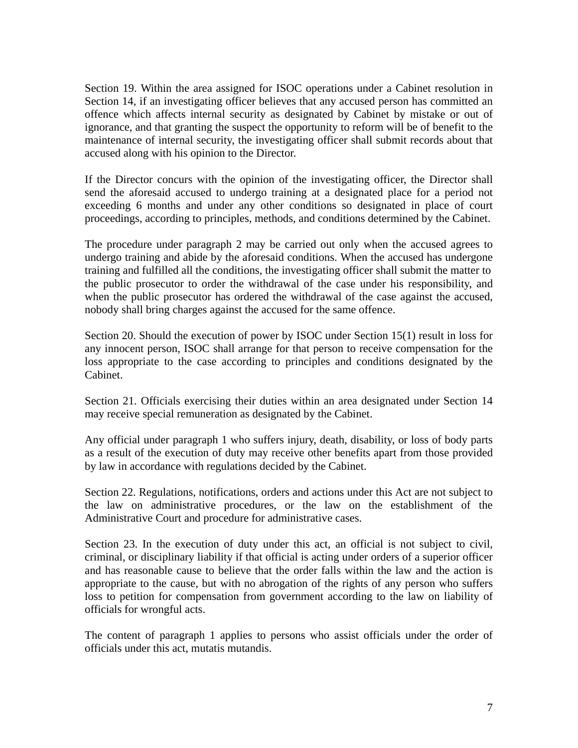Section 19. Within the area assigned for ISOC operations under a Cabinet resolution in Section 14, if an investigating officer believes that any accused person has committed an offence which affects internal security as designated by Cabinet by mistake or out of ignorance, and that granting the suspect the opportunity to reform will be of benefit to the maintenance of internal security, the investigating officer shall submit records about that accused along with his opinion to the Director.

If the Director concurs with the opinion of the investigating officer, the Director shall send the aforesaid accused to undergo training at a designated place for a period not exceeding 6 months and under any other conditions so designated in place of court proceedings, according to principles, methods, and conditions determined by the Cabinet.

The procedure under paragraph 2 may be carried out only when the accused agrees to undergo training and abide by the aforesaid conditions. When the accused has undergone training and fulfilled all the conditions, the investigating officer shall submit the matter to the public prosecutor to order the withdrawal of the case under his responsibility, and when the public prosecutor has ordered the withdrawal of the case against the accused, nobody shall bring charges against the accused for the same offence.

Section 20. Should the execution of power by ISOC under Section 15(1) result in loss for any innocent person, ISOC shall arrange for that person to receive compensation for the loss appropriate to the case according to principles and conditions designated by the Cabinet.

Section 21. Officials exercising their duties within an area designated under Section 14 may receive special remuneration as designated by the Cabinet.

Any official under paragraph 1 who suffers injury, death, disability, or loss of body parts as a result of the execution of duty may receive other benefits apart from those provided by law in accordance with regulations decided by the Cabinet.

Section 22. Regulations, notifications, orders and actions under this Act are not subject to the law on administrative procedures, or the law on the establishment of the Administrative Court and procedure for administrative cases.

Section 23. In the execution of duty under this act, an official is not subject to civil, criminal, or disciplinary liability if that official is acting under orders of a superior officer and has reasonable cause to believe that the order falls within the law and the action is appropriate to the cause, but with no abrogation of the rights of any person who suffers loss to petition for compensation from government according to the law on liability of officials for wrongful acts.

The content of paragraph 1 applies to persons who assist officials under the order of officials under this act, mutatis mutandis.